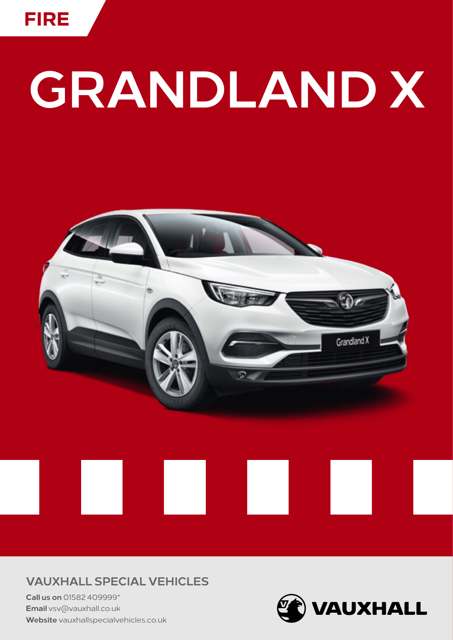

# GRANDLAND X



### **VAUXHALL SPECIAL VEHICLES**

Call us on 01582 409999\* Email vsv@vauxhall.co.uk Website vauxhallspecialvehicles.co.uk